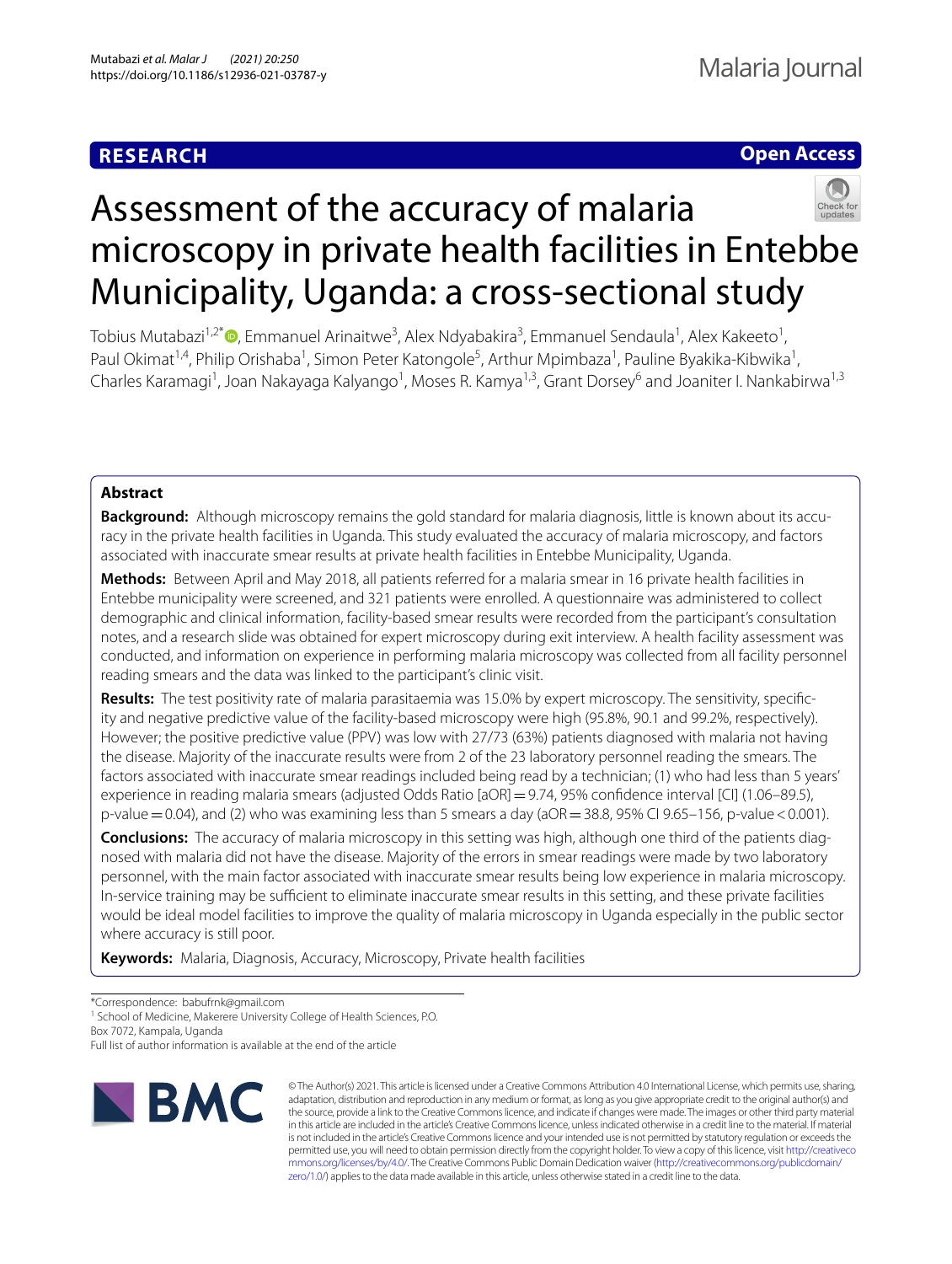# **RESEARCH**

# **Open Access**



# Assessment of the accuracy of malaria microscopy in private health facilities in Entebbe Municipality, Uganda: a cross-sectional study

Tobius Mutabazi<sup>1,2\*</sup>®[,](http://orcid.org/0000-0001-6711-1416) Emmanuel Arinaitwe<sup>3</sup>, Alex Ndyabakira<sup>3</sup>, Emmanuel Sendaula<sup>1</sup>, Alex Kakeeto<sup>1</sup>, Paul Okimat<sup>1,4</sup>, Philip Orishaba<sup>1</sup>, Simon Peter Katongole<sup>5</sup>, Arthur Mpimbaza<sup>1</sup>, Pauline Byakika-Kibwika<sup>1</sup>, Charles Karamagi<sup>1</sup>, Joan Nakayaga Kalyango<sup>1</sup>, Moses R. Kamya<sup>1,3</sup>, Grant Dorsey<sup>6</sup> and Joaniter I. Nankabirwa<sup>1,3</sup>

# **Abstract**

**Background:** Although microscopy remains the gold standard for malaria diagnosis, little is known about its accuracy in the private health facilities in Uganda. This study evaluated the accuracy of malaria microscopy, and factors associated with inaccurate smear results at private health facilities in Entebbe Municipality, Uganda.

**Methods:** Between April and May 2018, all patients referred for a malaria smear in 16 private health facilities in Entebbe municipality were screened, and 321 patients were enrolled. A questionnaire was administered to collect demographic and clinical information, facility-based smear results were recorded from the participant's consultation notes, and a research slide was obtained for expert microscopy during exit interview. A health facility assessment was conducted, and information on experience in performing malaria microscopy was collected from all facility personnel reading smears and the data was linked to the participant's clinic visit.

**Results:** The test positivity rate of malaria parasitaemia was 15.0% by expert microscopy. The sensitivity, specifc‑ ity and negative predictive value of the facility-based microscopy were high (95.8%, 90.1 and 99.2%, respectively). However; the positive predictive value (PPV) was low with 27/73 (63%) patients diagnosed with malaria not having the disease. Majority of the inaccurate results were from 2 of the 23 laboratory personnel reading the smears. The factors associated with inaccurate smear readings included being read by a technician; (1) who had less than 5 years' experience in reading malaria smears (adjusted Odds Ratio [aOR]=9.74, 95% confdence interval [CI] (1.06–89.5), p-value  $=0.04$ ), and (2) who was examining less than 5 smears a day (aOR $=38.8$ , 95% CI 9.65–156, p-value <0.001).

**Conclusions:** The accuracy of malaria microscopy in this setting was high, although one third of the patients diag‑ nosed with malaria did not have the disease. Majority of the errors in smear readings were made by two laboratory personnel, with the main factor associated with inaccurate smear results being low experience in malaria microscopy. In-service training may be sufficient to eliminate inaccurate smear results in this setting, and these private facilities would be ideal model facilities to improve the quality of malaria microscopy in Uganda especially in the public sector where accuracy is still poor.

**Keywords:** Malaria, Diagnosis, Accuracy, Microscopy, Private health facilities

\*Correspondence: babufrnk@gmail.com

<sup>1</sup> School of Medicine, Makerere University College of Health Sciences, P.O.

Box 7072, Kampala, Uganda

Full list of author information is available at the end of the article



© The Author(s) 2021. This article is licensed under a Creative Commons Attribution 4.0 International License, which permits use, sharing, adaptation, distribution and reproduction in any medium or format, as long as you give appropriate credit to the original author(s) and the source, provide a link to the Creative Commons licence, and indicate if changes were made. The images or other third party material in this article are included in the article's Creative Commons licence, unless indicated otherwise in a credit line to the material. If material is not included in the article's Creative Commons licence and your intended use is not permitted by statutory regulation or exceeds the permitted use, you will need to obtain permission directly from the copyright holder. To view a copy of this licence, visit [http://creativeco](http://creativecommons.org/licenses/by/4.0/) [mmons.org/licenses/by/4.0/.](http://creativecommons.org/licenses/by/4.0/) The Creative Commons Public Domain Dedication waiver ([http://creativecommons.org/publicdomain/](http://creativecommons.org/publicdomain/zero/1.0/) [zero/1.0/\)](http://creativecommons.org/publicdomain/zero/1.0/) applies to the data made available in this article, unless otherwise stated in a credit line to the data.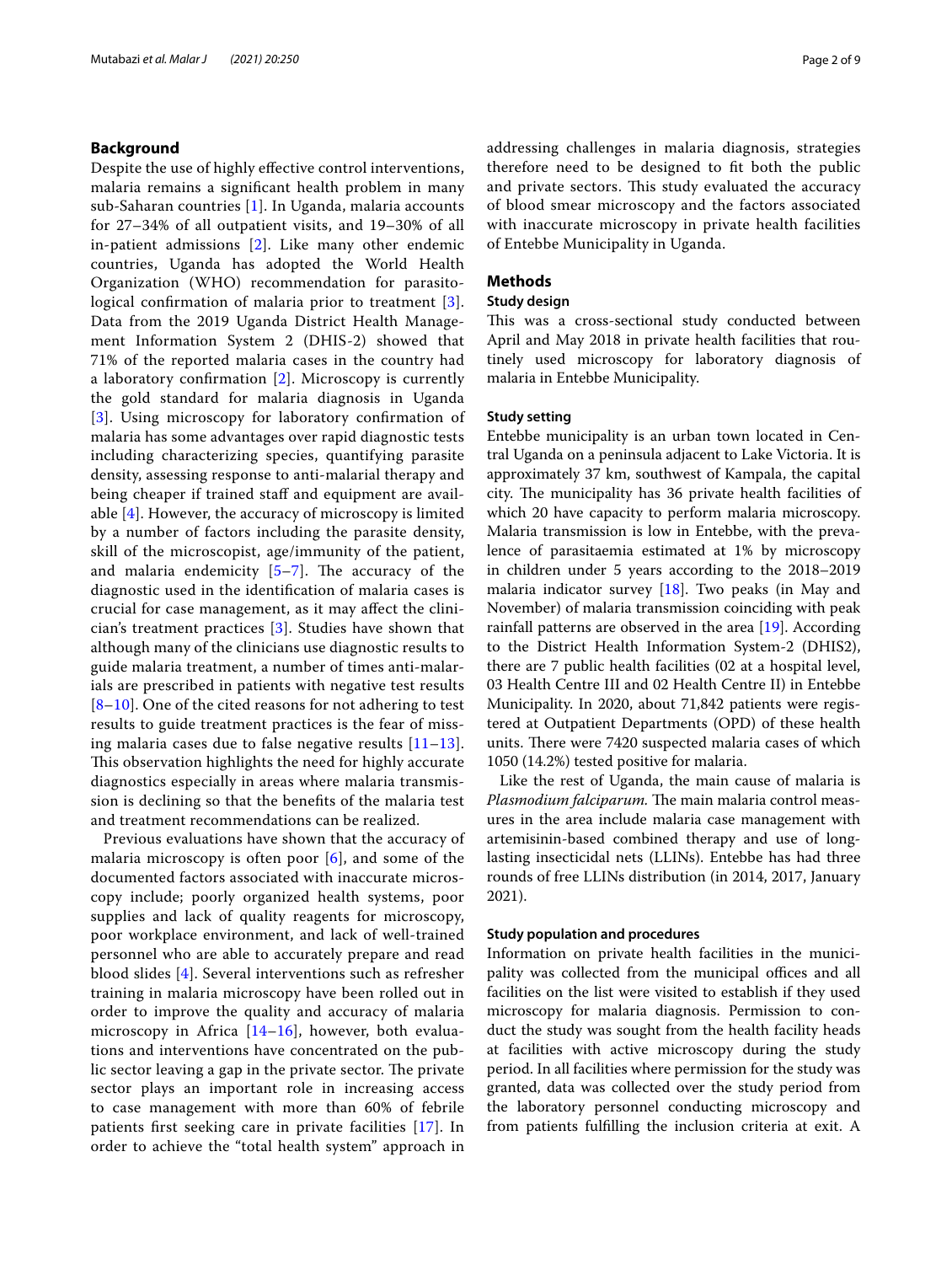## **Background**

Despite the use of highly efective control interventions, malaria remains a signifcant health problem in many sub-Saharan countries [[1\]](#page-7-0). In Uganda, malaria accounts for 27–34% of all outpatient visits, and 19–30% of all in-patient admissions [[2](#page-7-1)]. Like many other endemic countries, Uganda has adopted the World Health Organization (WHO) recommendation for parasitological confrmation of malaria prior to treatment [[3\]](#page-7-2). Data from the 2019 Uganda District Health Management Information System 2 (DHIS-2) showed that 71% of the reported malaria cases in the country had a laboratory confrmation [[2](#page-7-1)]. Microscopy is currently the gold standard for malaria diagnosis in Uganda [[3](#page-7-2)]. Using microscopy for laboratory confrmation of malaria has some advantages over rapid diagnostic tests including characterizing species, quantifying parasite density, assessing response to anti-malarial therapy and being cheaper if trained staff and equipment are available [\[4\]](#page-7-3). However, the accuracy of microscopy is limited by a number of factors including the parasite density, skill of the microscopist, age/immunity of the patient, and malaria endemicity  $[5-7]$  $[5-7]$ . The accuracy of the diagnostic used in the identifcation of malaria cases is crucial for case management, as it may afect the clinician's treatment practices [\[3](#page-7-2)]. Studies have shown that although many of the clinicians use diagnostic results to guide malaria treatment, a number of times anti-malarials are prescribed in patients with negative test results [[8](#page-7-6)[–10](#page-7-7)]. One of the cited reasons for not adhering to test results to guide treatment practices is the fear of missing malaria cases due to false negative results [[11–](#page-7-8)[13\]](#page-7-9). This observation highlights the need for highly accurate diagnostics especially in areas where malaria transmission is declining so that the benefts of the malaria test and treatment recommendations can be realized.

Previous evaluations have shown that the accuracy of malaria microscopy is often poor  $[6]$  $[6]$ , and some of the documented factors associated with inaccurate microscopy include; poorly organized health systems, poor supplies and lack of quality reagents for microscopy, poor workplace environment, and lack of well-trained personnel who are able to accurately prepare and read blood slides [\[4](#page-7-3)]. Several interventions such as refresher training in malaria microscopy have been rolled out in order to improve the quality and accuracy of malaria microscopy in Africa  $[14–16]$  $[14–16]$  $[14–16]$ , however, both evaluations and interventions have concentrated on the public sector leaving a gap in the private sector. The private sector plays an important role in increasing access to case management with more than 60% of febrile patients frst seeking care in private facilities [[17\]](#page-7-13). In order to achieve the "total health system" approach in addressing challenges in malaria diagnosis, strategies therefore need to be designed to ft both the public and private sectors. This study evaluated the accuracy of blood smear microscopy and the factors associated with inaccurate microscopy in private health facilities of Entebbe Municipality in Uganda.

# **Methods**

## **Study design**

This was a cross-sectional study conducted between April and May 2018 in private health facilities that routinely used microscopy for laboratory diagnosis of malaria in Entebbe Municipality.

# **Study setting**

Entebbe municipality is an urban town located in Central Uganda on a peninsula adjacent to Lake Victoria. It is approximately 37 km, southwest of Kampala, the capital city. The municipality has 36 private health facilities of which 20 have capacity to perform malaria microscopy. Malaria transmission is low in Entebbe, with the prevalence of parasitaemia estimated at 1% by microscopy in children under 5 years according to the 2018–2019 malaria indicator survey [[18\]](#page-7-14). Two peaks (in May and November) of malaria transmission coinciding with peak rainfall patterns are observed in the area [\[19\]](#page-7-15). According to the District Health Information System-2 (DHIS2), there are 7 public health facilities (02 at a hospital level, 03 Health Centre III and 02 Health Centre II) in Entebbe Municipality. In 2020, about 71,842 patients were registered at Outpatient Departments (OPD) of these health units. There were 7420 suspected malaria cases of which 1050 (14.2%) tested positive for malaria.

Like the rest of Uganda, the main cause of malaria is Plasmodium falciparum. The main malaria control measures in the area include malaria case management with artemisinin-based combined therapy and use of longlasting insecticidal nets (LLINs). Entebbe has had three rounds of free LLINs distribution (in 2014, 2017, January 2021).

#### **Study population and procedures**

Information on private health facilities in the municipality was collected from the municipal offices and all facilities on the list were visited to establish if they used microscopy for malaria diagnosis. Permission to conduct the study was sought from the health facility heads at facilities with active microscopy during the study period. In all facilities where permission for the study was granted, data was collected over the study period from the laboratory personnel conducting microscopy and from patients fulflling the inclusion criteria at exit. A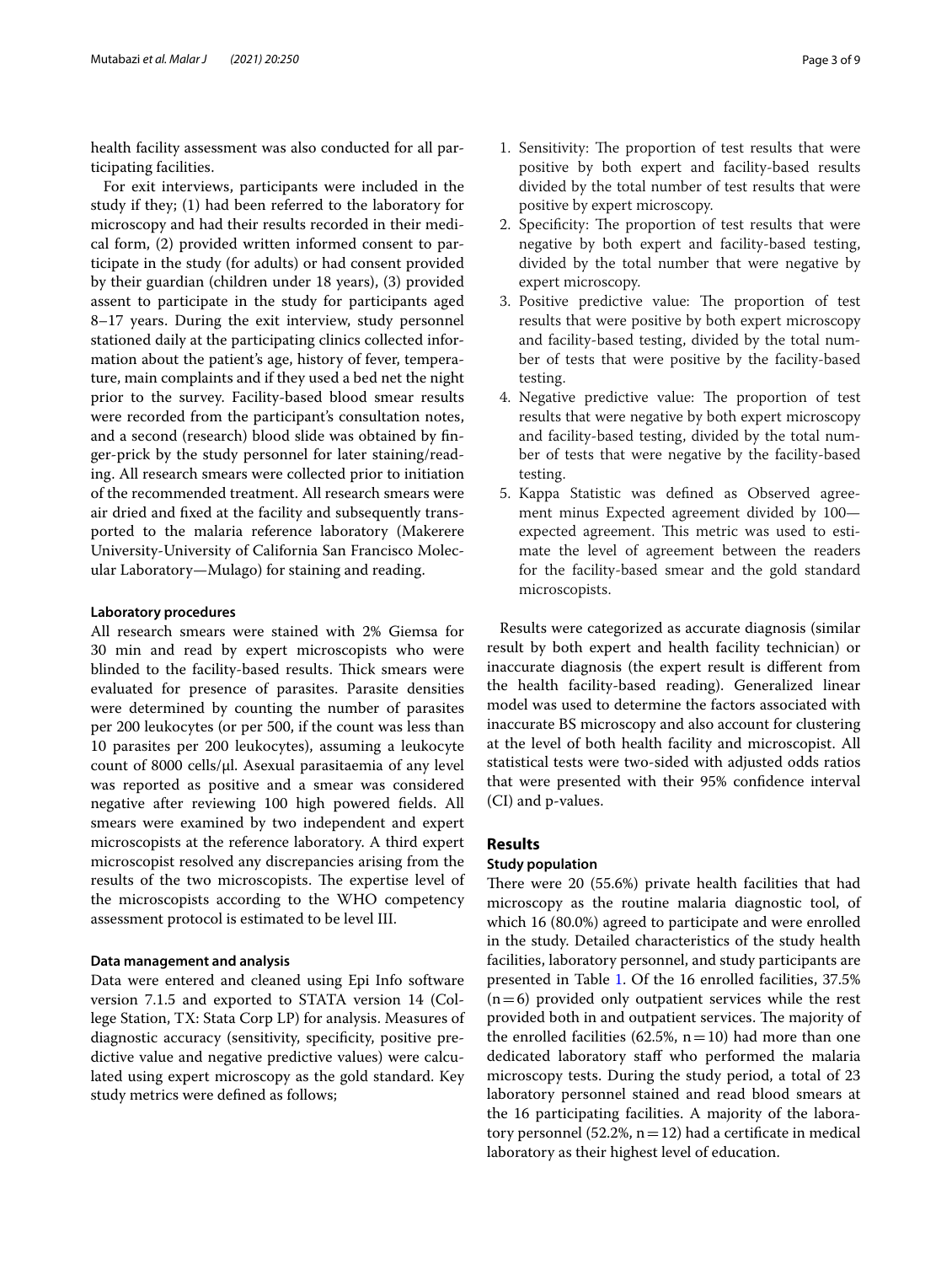health facility assessment was also conducted for all participating facilities.

For exit interviews, participants were included in the study if they; (1) had been referred to the laboratory for microscopy and had their results recorded in their medical form, (2) provided written informed consent to participate in the study (for adults) or had consent provided by their guardian (children under 18 years), (3) provided assent to participate in the study for participants aged 8–17 years. During the exit interview, study personnel stationed daily at the participating clinics collected information about the patient's age, history of fever, temperature, main complaints and if they used a bed net the night prior to the survey. Facility-based blood smear results were recorded from the participant's consultation notes, and a second (research) blood slide was obtained by fnger-prick by the study personnel for later staining/reading. All research smears were collected prior to initiation of the recommended treatment. All research smears were air dried and fxed at the facility and subsequently transported to the malaria reference laboratory (Makerere University-University of California San Francisco Molecular Laboratory—Mulago) for staining and reading.

### **Laboratory procedures**

All research smears were stained with 2% Giemsa for 30 min and read by expert microscopists who were blinded to the facility-based results. Thick smears were evaluated for presence of parasites. Parasite densities were determined by counting the number of parasites per 200 leukocytes (or per 500, if the count was less than 10 parasites per 200 leukocytes), assuming a leukocyte count of 8000 cells/ $\mu$ l. Asexual parasitaemia of any level was reported as positive and a smear was considered negative after reviewing 100 high powered felds. All smears were examined by two independent and expert microscopists at the reference laboratory. A third expert microscopist resolved any discrepancies arising from the results of the two microscopists. The expertise level of the microscopists according to the WHO competency assessment protocol is estimated to be level III.

## **Data management and analysis**

Data were entered and cleaned using Epi Info software version 7.1.5 and exported to STATA version 14 (College Station, TX: Stata Corp LP) for analysis. Measures of diagnostic accuracy (sensitivity, specifcity, positive predictive value and negative predictive values) were calculated using expert microscopy as the gold standard. Key study metrics were defned as follows;

- 1. Sensitivity: The proportion of test results that were positive by both expert and facility-based results divided by the total number of test results that were positive by expert microscopy.
- 2. Specificity: The proportion of test results that were negative by both expert and facility-based testing, divided by the total number that were negative by expert microscopy.
- 3. Positive predictive value: The proportion of test results that were positive by both expert microscopy and facility-based testing, divided by the total number of tests that were positive by the facility-based testing.
- 4. Negative predictive value: The proportion of test results that were negative by both expert microscopy and facility-based testing, divided by the total number of tests that were negative by the facility-based testing.
- 5. Kappa Statistic was defned as Observed agreement minus Expected agreement divided by 100 expected agreement. This metric was used to estimate the level of agreement between the readers for the facility-based smear and the gold standard microscopists.

Results were categorized as accurate diagnosis (similar result by both expert and health facility technician) or inaccurate diagnosis (the expert result is diferent from the health facility-based reading). Generalized linear model was used to determine the factors associated with inaccurate BS microscopy and also account for clustering at the level of both health facility and microscopist. All statistical tests were two-sided with adjusted odds ratios that were presented with their 95% confdence interval (CI) and p-values.

# **Results**

# **Study population**

There were 20 (55.6%) private health facilities that had microscopy as the routine malaria diagnostic tool, of which 16 (80.0%) agreed to participate and were enrolled in the study. Detailed characteristics of the study health facilities, laboratory personnel, and study participants are presented in Table [1.](#page-3-0) Of the 16 enrolled facilities, 37.5%  $(n=6)$  provided only outpatient services while the rest provided both in and outpatient services. The majority of the enrolled facilities (62.5%,  $n=10$ ) had more than one dedicated laboratory staff who performed the malaria microscopy tests. During the study period, a total of 23 laboratory personnel stained and read blood smears at the 16 participating facilities. A majority of the laboratory personnel (52.2%,  $n=12$ ) had a certificate in medical laboratory as their highest level of education.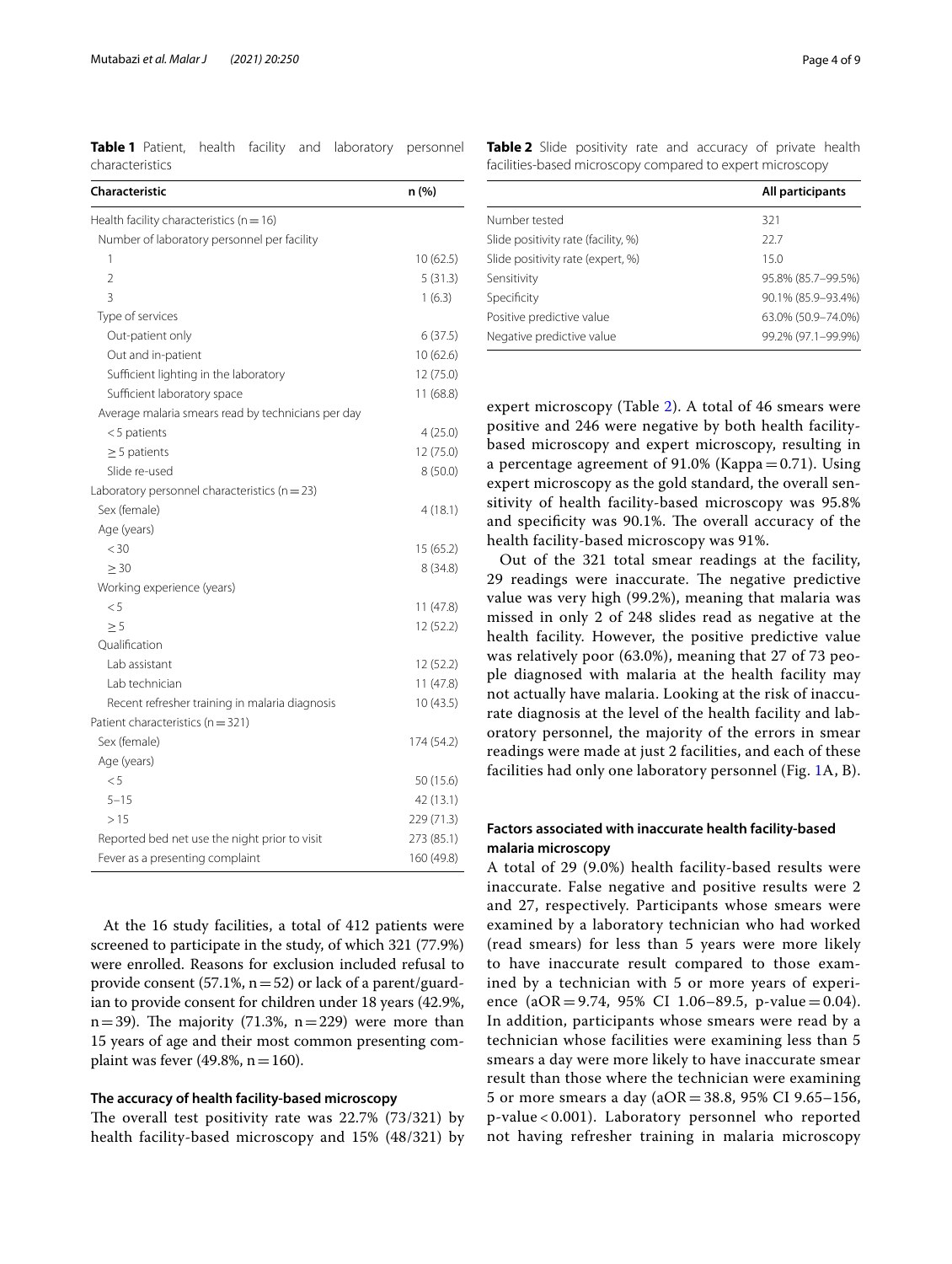<span id="page-3-0"></span>**Table 1** Patient, health facility and laboratory personnel characteristics

| Characteristic                                     | n(%)       |
|----------------------------------------------------|------------|
| Health facility characteristics ( $n = 16$ )       |            |
| Number of laboratory personnel per facility        |            |
| 1                                                  | 10(62.5)   |
| $\overline{2}$                                     | 5(31.3)    |
| 3                                                  | 1(6.3)     |
| Type of services                                   |            |
| Out-patient only                                   | 6(37.5)    |
| Out and in-patient                                 | 10 (62.6)  |
| Sufficient lighting in the laboratory              | 12 (75.0)  |
| Sufficient laboratory space                        | 11 (68.8)  |
| Average malaria smears read by technicians per day |            |
| $<$ 5 patients                                     | 4(25.0)    |
| $\geq$ 5 patients                                  | 12 (75.0)  |
| Slide re-used                                      | 8(50.0)    |
| Laboratory personnel characteristics ( $n = 23$ )  |            |
| Sex (female)                                       | 4(18.1)    |
| Age (years)                                        |            |
| < 30                                               | 15 (65.2)  |
| $\geq 30$                                          | 8(34.8)    |
| Working experience (years)                         |            |
| < 5                                                | 11 (47.8)  |
| > 5                                                | 12(52.2)   |
| Oualification                                      |            |
| Lab assistant                                      | 12 (52.2)  |
| Lab technician                                     | 11 (47.8)  |
| Recent refresher training in malaria diagnosis     | 10(43.5)   |
| Patient characteristics (n = 321)                  |            |
| Sex (female)                                       | 174 (54.2) |
| Age (years)                                        |            |
| < 5                                                | 50 (15.6)  |
| $5 - 15$                                           | 42 (13.1)  |
| >15                                                | 229 (71.3) |
| Reported bed net use the night prior to visit      | 273 (85.1) |
| Fever as a presenting complaint                    | 160 (49.8) |

At the 16 study facilities, a total of 412 patients were screened to participate in the study, of which 321 (77.9%) were enrolled. Reasons for exclusion included refusal to provide consent (57.1%,  $n=52$ ) or lack of a parent/guardian to provide consent for children under 18 years (42.9%,  $n=39$ ). The majority (71.3%,  $n=229$ ) were more than 15 years of age and their most common presenting complaint was fever (49.8%,  $n=160$ ).

#### **The accuracy of health facility‑based microscopy**

The overall test positivity rate was  $22.7\%$  (73/321) by health facility-based microscopy and 15% (48/321) by

<span id="page-3-1"></span>**Table 2** Slide positivity rate and accuracy of private health facilities-based microscopy compared to expert microscopy

|                                     | All participants   |
|-------------------------------------|--------------------|
| Number tested                       | 321                |
| Slide positivity rate (facility, %) | 227                |
| Slide positivity rate (expert, %)   | 150                |
| Sensitivity                         | 95.8% (85.7-99.5%) |
| Specificity                         | 90.1% (85.9-93.4%) |
| Positive predictive value           | 63.0% (50.9-74.0%) |
| Negative predictive value           | 99.2% (97.1-99.9%) |

expert microscopy (Table [2\)](#page-3-1). A total of 46 smears were positive and 246 were negative by both health facilitybased microscopy and expert microscopy, resulting in a percentage agreement of  $91.0\%$  (Kappa = 0.71). Using expert microscopy as the gold standard, the overall sensitivity of health facility-based microscopy was 95.8% and specificity was 90.1%. The overall accuracy of the health facility-based microscopy was 91%.

Out of the 321 total smear readings at the facility, 29 readings were inaccurate. The negative predictive value was very high (99.2%), meaning that malaria was missed in only 2 of 248 slides read as negative at the health facility. However, the positive predictive value was relatively poor (63.0%), meaning that 27 of 73 people diagnosed with malaria at the health facility may not actually have malaria. Looking at the risk of inaccurate diagnosis at the level of the health facility and laboratory personnel, the majority of the errors in smear readings were made at just 2 facilities, and each of these facilities had only one laboratory personnel (Fig. [1A](#page-4-0), B).

# **Factors associated with inaccurate health facility‑based malaria microscopy**

A total of 29 (9.0%) health facility-based results were inaccurate. False negative and positive results were 2 and 27, respectively. Participants whose smears were examined by a laboratory technician who had worked (read smears) for less than 5 years were more likely to have inaccurate result compared to those examined by a technician with 5 or more years of experience (aOR = 9.74, 95% CI 1.06–89.5, p-value = 0.04). In addition, participants whose smears were read by a technician whose facilities were examining less than 5 smears a day were more likely to have inaccurate smear result than those where the technician were examining 5 or more smears a day (aOR = 38.8, 95% CI 9.65–156, p-value < 0.001). Laboratory personnel who reported not having refresher training in malaria microscopy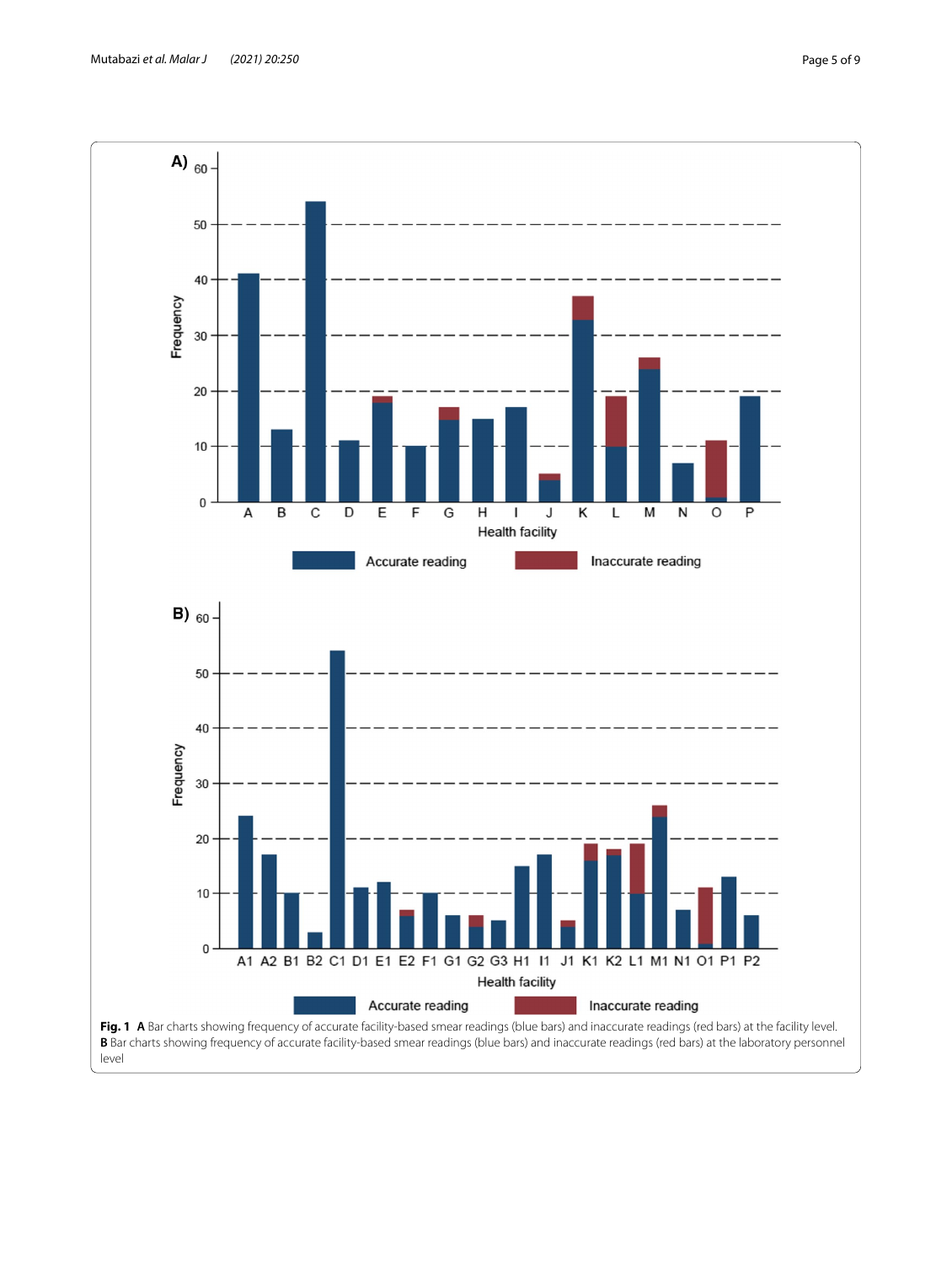<span id="page-4-0"></span>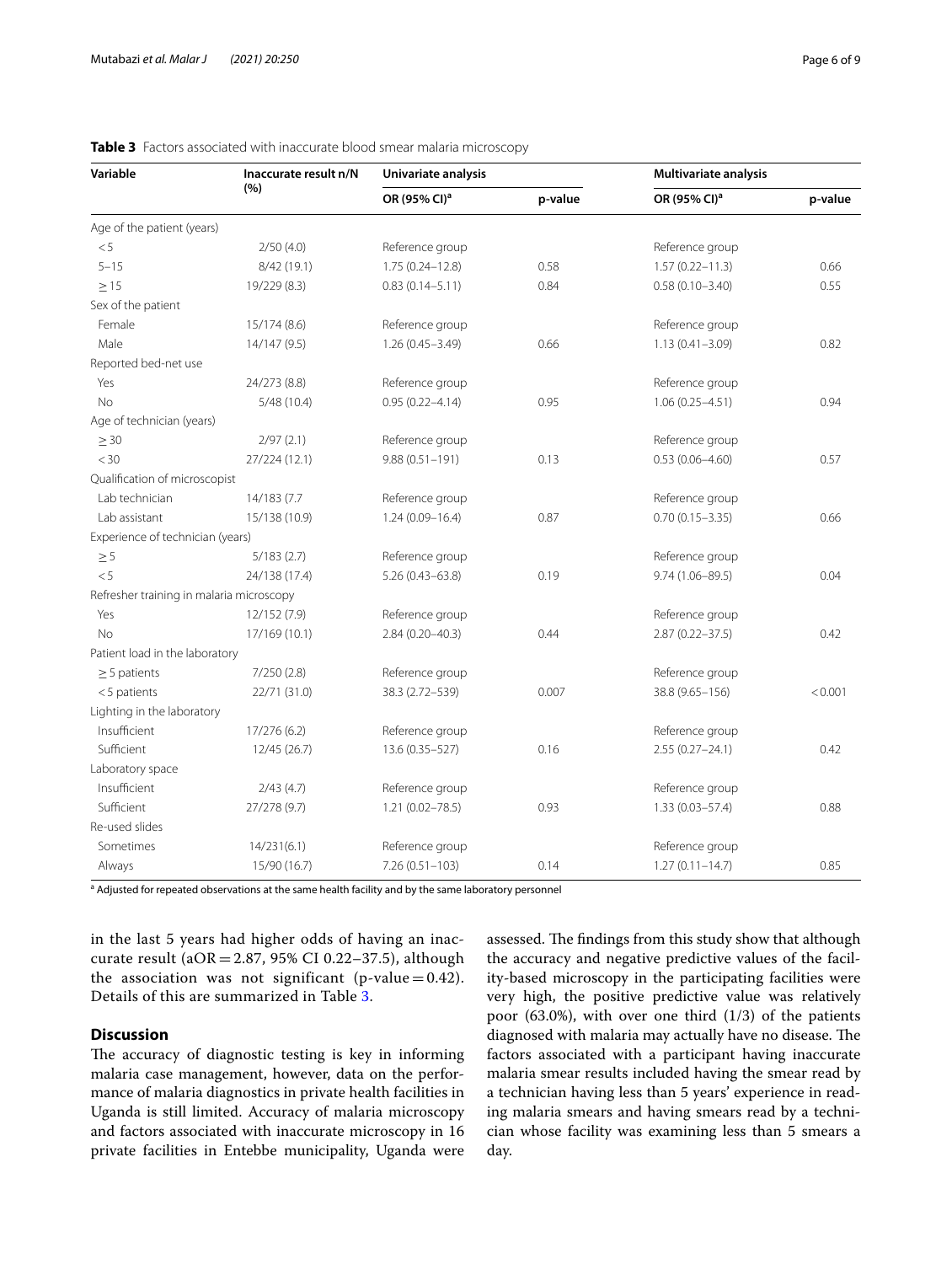| Variable                                 | Inaccurate result n/N | Univariate analysis      |         | Multivariate analysis    |         |
|------------------------------------------|-----------------------|--------------------------|---------|--------------------------|---------|
|                                          | (%)                   | OR (95% CI) <sup>a</sup> | p-value | OR (95% CI) <sup>a</sup> | p-value |
| Age of the patient (years)               |                       |                          |         |                          |         |
| < 5                                      | 2/50(4.0)             | Reference group          |         | Reference group          |         |
| $5 - 15$                                 | 8/42 (19.1)           | $1.75(0.24 - 12.8)$      | 0.58    | $1.57(0.22 - 11.3)$      | 0.66    |
| >15                                      | 19/229 (8.3)          | $0.83(0.14 - 5.11)$      | 0.84    | $0.58(0.10 - 3.40)$      | 0.55    |
| Sex of the patient                       |                       |                          |         |                          |         |
| Female                                   | 15/174 (8.6)          | Reference group          |         | Reference group          |         |
| Male                                     | 14/147 (9.5)          | $1.26(0.45 - 3.49)$      | 0.66    | $1.13(0.41 - 3.09)$      | 0.82    |
| Reported bed-net use                     |                       |                          |         |                          |         |
| Yes                                      | 24/273 (8.8)          | Reference group          |         | Reference group          |         |
| No                                       | 5/48(10.4)            | $0.95(0.22 - 4.14)$      | 0.95    | $1.06(0.25 - 4.51)$      | 0.94    |
| Age of technician (years)                |                       |                          |         |                          |         |
| $\geq 30$                                | 2/97(2.1)             | Reference group          |         | Reference group          |         |
| $<$ 30                                   | 27/224 (12.1)         | $9.88(0.51 - 191)$       | 0.13    | $0.53(0.06 - 4.60)$      | 0.57    |
| Qualification of microscopist            |                       |                          |         |                          |         |
| Lab technician                           | 14/183 (7.7           | Reference group          |         | Reference group          |         |
| Lab assistant                            | 15/138 (10.9)         | $1.24(0.09 - 16.4)$      | 0.87    | $0.70(0.15 - 3.35)$      | 0.66    |
| Experience of technician (years)         |                       |                          |         |                          |         |
| $\geq 5$                                 | 5/183(2.7)            | Reference group          |         | Reference group          |         |
| < 5                                      | 24/138 (17.4)         | $5.26(0.43 - 63.8)$      | 0.19    | $9.74(1.06 - 89.5)$      | 0.04    |
| Refresher training in malaria microscopy |                       |                          |         |                          |         |
| Yes                                      | 12/152 (7.9)          | Reference group          |         | Reference group          |         |
| No                                       | 17/169 (10.1)         | $2.84(0.20 - 40.3)$      | 0.44    | $2.87(0.22 - 37.5)$      | 0.42    |
| Patient load in the laboratory           |                       |                          |         |                          |         |
| $\geq$ 5 patients                        | 7/250(2.8)            | Reference group          |         | Reference group          |         |
| $<$ 5 patients                           | 22/71 (31.0)          | 38.3 (2.72-539)          | 0.007   | 38.8 (9.65-156)          | < 0.001 |
| Lighting in the laboratory               |                       |                          |         |                          |         |
| Insufficient                             | 17/276 (6.2)          | Reference group          |         | Reference group          |         |
| Sufficient                               | 12/45 (26.7)          | 13.6 (0.35-527)          | 0.16    | $2.55(0.27 - 24.1)$      | 0.42    |
| Laboratory space                         |                       |                          |         |                          |         |
| Insufficient                             | 2/43(4.7)             | Reference group          |         | Reference group          |         |
| Sufficient                               | 27/278 (9.7)          | $1.21(0.02 - 78.5)$      | 0.93    | $1.33(0.03 - 57.4)$      | 0.88    |
| Re-used slides                           |                       |                          |         |                          |         |
| Sometimes                                | 14/231(6.1)           | Reference group          |         | Reference group          |         |
| Always                                   | 15/90 (16.7)          | $7.26(0.51 - 103)$       | 0.14    | $1.27(0.11 - 14.7)$      | 0.85    |

# <span id="page-5-0"></span>**Table 3** Factors associated with inaccurate blood smear malaria microscopy

<sup>a</sup> Adjusted for repeated observations at the same health facility and by the same laboratory personnel

in the last 5 years had higher odds of having an inaccurate result ( $aOR = 2.87$ , 95% CI 0.22-37.5), although the association was not significant (p-value =  $0.42$ ). Details of this are summarized in Table [3](#page-5-0).

# **Discussion**

The accuracy of diagnostic testing is key in informing malaria case management, however, data on the performance of malaria diagnostics in private health facilities in Uganda is still limited. Accuracy of malaria microscopy and factors associated with inaccurate microscopy in 16 private facilities in Entebbe municipality, Uganda were assessed. The findings from this study show that although the accuracy and negative predictive values of the facility-based microscopy in the participating facilities were very high, the positive predictive value was relatively poor (63.0%), with over one third (1/3) of the patients diagnosed with malaria may actually have no disease. The factors associated with a participant having inaccurate malaria smear results included having the smear read by a technician having less than 5 years' experience in reading malaria smears and having smears read by a technician whose facility was examining less than 5 smears a day.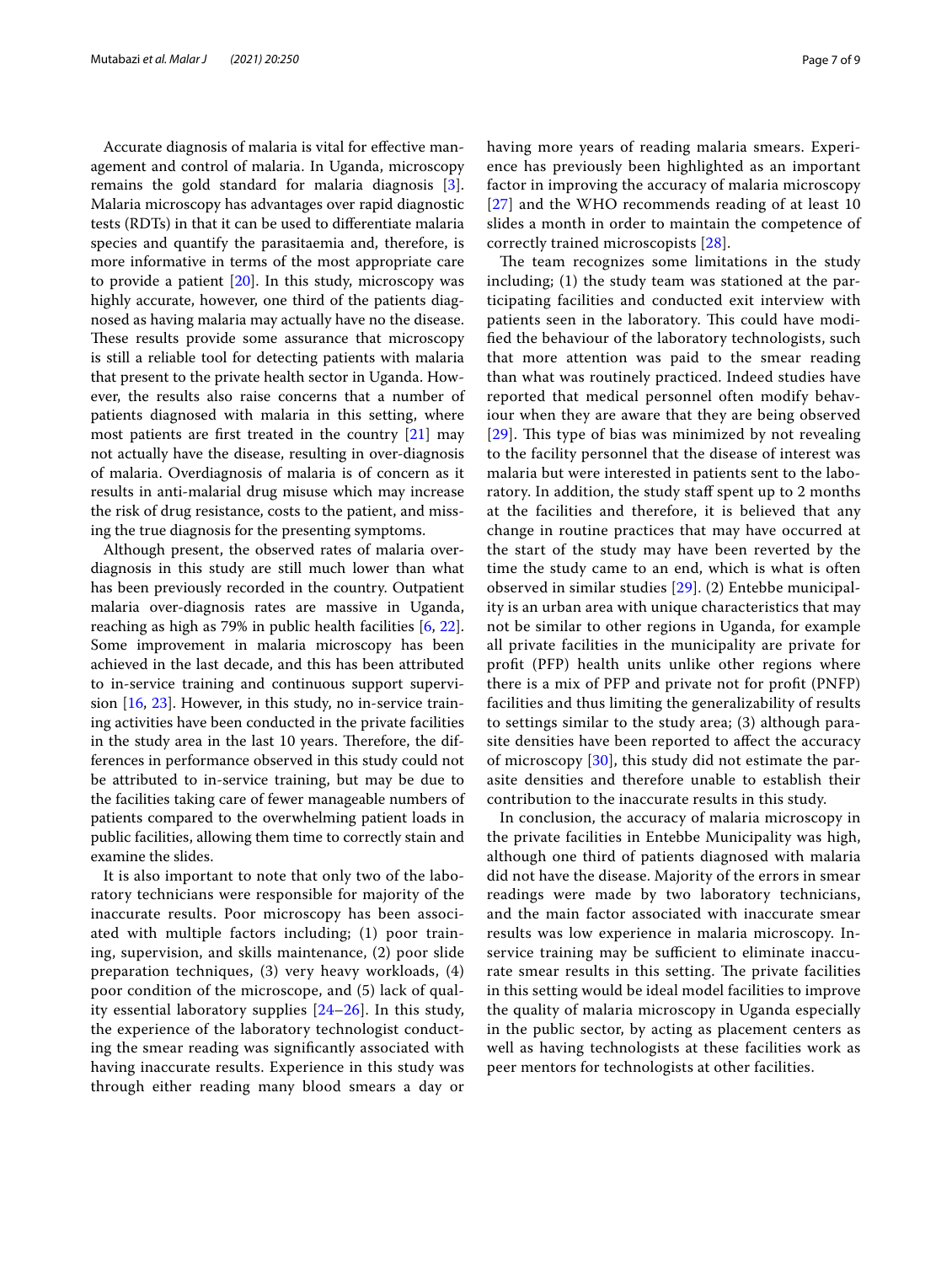Accurate diagnosis of malaria is vital for efective management and control of malaria. In Uganda, microscopy remains the gold standard for malaria diagnosis [\[3](#page-7-2)]. Malaria microscopy has advantages over rapid diagnostic tests (RDTs) in that it can be used to diferentiate malaria species and quantify the parasitaemia and, therefore, is more informative in terms of the most appropriate care to provide a patient [[20\]](#page-8-0). In this study, microscopy was highly accurate, however, one third of the patients diagnosed as having malaria may actually have no the disease. These results provide some assurance that microscopy is still a reliable tool for detecting patients with malaria that present to the private health sector in Uganda. However, the results also raise concerns that a number of patients diagnosed with malaria in this setting, where most patients are frst treated in the country [\[21](#page-8-1)] may not actually have the disease, resulting in over-diagnosis of malaria. Overdiagnosis of malaria is of concern as it results in anti-malarial drug misuse which may increase the risk of drug resistance, costs to the patient, and missing the true diagnosis for the presenting symptoms.

Although present, the observed rates of malaria overdiagnosis in this study are still much lower than what has been previously recorded in the country. Outpatient malaria over-diagnosis rates are massive in Uganda, reaching as high as 79% in public health facilities [\[6](#page-7-10), [22](#page-8-2)]. Some improvement in malaria microscopy has been achieved in the last decade, and this has been attributed to in-service training and continuous support supervision [[16,](#page-7-12) [23\]](#page-8-3). However, in this study, no in-service training activities have been conducted in the private facilities in the study area in the last 10 years. Therefore, the differences in performance observed in this study could not be attributed to in-service training, but may be due to the facilities taking care of fewer manageable numbers of patients compared to the overwhelming patient loads in public facilities, allowing them time to correctly stain and examine the slides.

It is also important to note that only two of the laboratory technicians were responsible for majority of the inaccurate results. Poor microscopy has been associated with multiple factors including; (1) poor training, supervision, and skills maintenance, (2) poor slide preparation techniques, (3) very heavy workloads, (4) poor condition of the microscope, and (5) lack of quality essential laboratory supplies [[24](#page-8-4)[–26](#page-8-5)]. In this study, the experience of the laboratory technologist conducting the smear reading was signifcantly associated with having inaccurate results. Experience in this study was through either reading many blood smears a day or having more years of reading malaria smears. Experience has previously been highlighted as an important factor in improving the accuracy of malaria microscopy [[27](#page-8-6)] and the WHO recommends reading of at least 10 slides a month in order to maintain the competence of correctly trained microscopists [[28\]](#page-8-7).

The team recognizes some limitations in the study including; (1) the study team was stationed at the participating facilities and conducted exit interview with patients seen in the laboratory. This could have modifed the behaviour of the laboratory technologists, such that more attention was paid to the smear reading than what was routinely practiced. Indeed studies have reported that medical personnel often modify behaviour when they are aware that they are being observed [[29](#page-8-8)]. This type of bias was minimized by not revealing to the facility personnel that the disease of interest was malaria but were interested in patients sent to the laboratory. In addition, the study staff spent up to 2 months at the facilities and therefore, it is believed that any change in routine practices that may have occurred at the start of the study may have been reverted by the time the study came to an end, which is what is often observed in similar studies [\[29](#page-8-8)]. (2) Entebbe municipality is an urban area with unique characteristics that may not be similar to other regions in Uganda, for example all private facilities in the municipality are private for proft (PFP) health units unlike other regions where there is a mix of PFP and private not for proft (PNFP) facilities and thus limiting the generalizability of results to settings similar to the study area; (3) although parasite densities have been reported to afect the accuracy of microscopy [[30\]](#page-8-9), this study did not estimate the parasite densities and therefore unable to establish their contribution to the inaccurate results in this study.

In conclusion, the accuracy of malaria microscopy in the private facilities in Entebbe Municipality was high, although one third of patients diagnosed with malaria did not have the disease. Majority of the errors in smear readings were made by two laboratory technicians, and the main factor associated with inaccurate smear results was low experience in malaria microscopy. Inservice training may be sufficient to eliminate inaccurate smear results in this setting. The private facilities in this setting would be ideal model facilities to improve the quality of malaria microscopy in Uganda especially in the public sector, by acting as placement centers as well as having technologists at these facilities work as peer mentors for technologists at other facilities.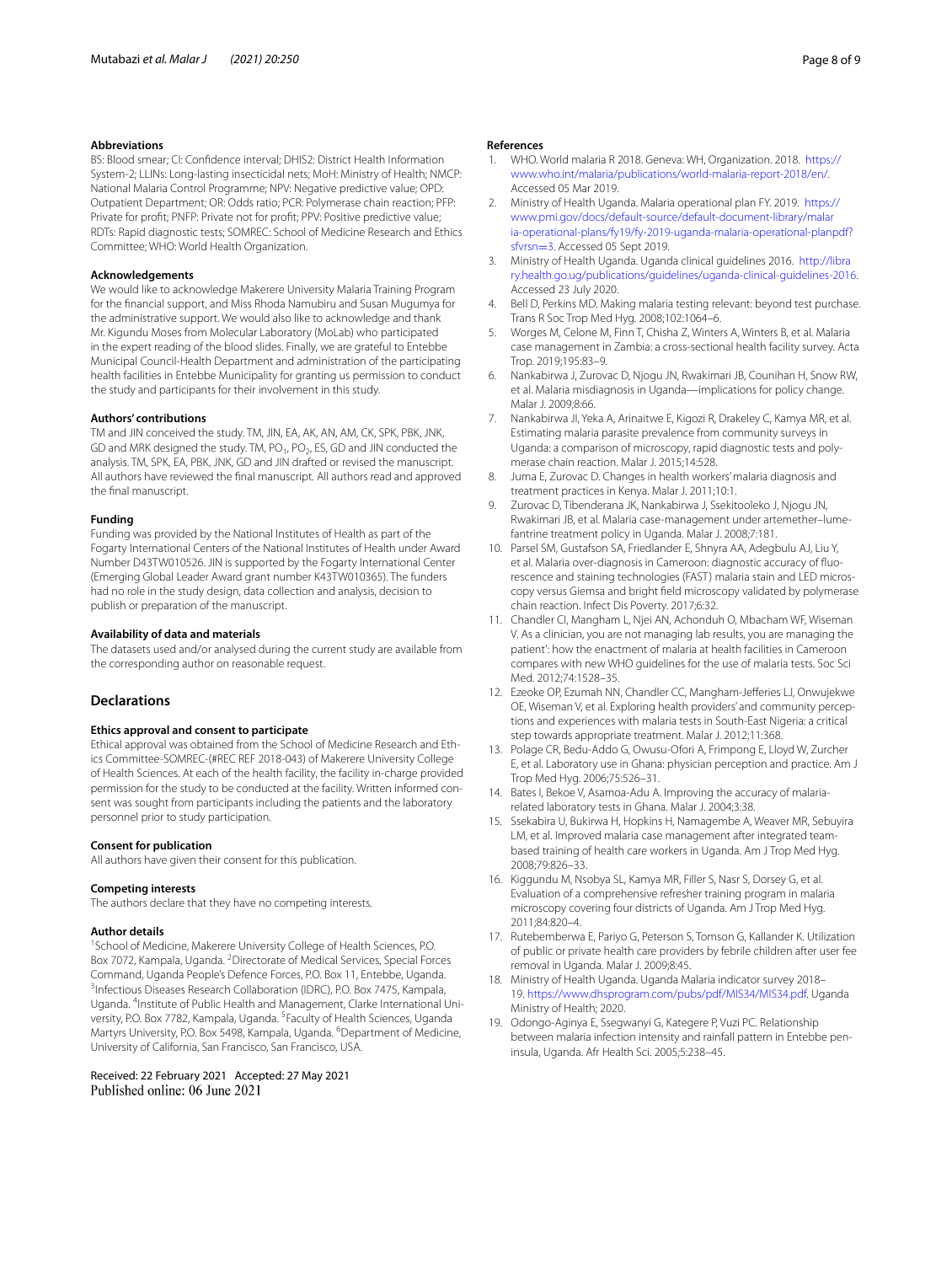#### **Abbreviations**

BS: Blood smear; CI: Confdence interval; DHIS2: District Health Information System-2; LLINs: Long-lasting insecticidal nets; MoH: Ministry of Health; NMCP: National Malaria Control Programme; NPV: Negative predictive value; OPD: Outpatient Department; OR: Odds ratio; PCR: Polymerase chain reaction; PFP: Private for proft; PNFP: Private not for proft; PPV: Positive predictive value; RDTs: Rapid diagnostic tests; SOMREC: School of Medicine Research and Ethics Committee; WHO: World Health Organization.

#### **Acknowledgements**

We would like to acknowledge Makerere University Malaria Training Program for the fnancial support, and Miss Rhoda Namubiru and Susan Mugumya for the administrative support. We would also like to acknowledge and thank Mr. Kigundu Moses from Molecular Laboratory (MoLab) who participated in the expert reading of the blood slides. Finally, we are grateful to Entebbe Municipal Council-Health Department and administration of the participating health facilities in Entebbe Municipality for granting us permission to conduct the study and participants for their involvement in this study.

#### **Authors' contributions**

TM and JIN conceived the study. TM, JIN, EA, AK, AN, AM, CK, SPK, PBK, JNK, GD and MRK designed the study. TM, PO<sub>1</sub>, PO<sub>2</sub>, ES, GD and JIN conducted the analysis. TM, SPK, EA, PBK, JNK, GD and JIN drafted or revised the manuscript. All authors have reviewed the fnal manuscript. All authors read and approved the fnal manuscript.

#### **Funding**

Funding was provided by the National Institutes of Health as part of the Fogarty International Centers of the National Institutes of Health under Award Number D43TW010526. JIN is supported by the Fogarty International Center (Emerging Global Leader Award grant number K43TW010365). The funders had no role in the study design, data collection and analysis, decision to publish or preparation of the manuscript.

#### **Availability of data and materials**

The datasets used and/or analysed during the current study are available from the corresponding author on reasonable request.

#### **Declarations**

#### **Ethics approval and consent to participate**

Ethical approval was obtained from the School of Medicine Research and Ethics Committee-SOMREC-(#REC REF 2018-043) of Makerere University College of Health Sciences. At each of the health facility, the facility in-charge provided permission for the study to be conducted at the facility. Written informed consent was sought from participants including the patients and the laboratory personnel prior to study participation.

#### **Consent for publication**

All authors have given their consent for this publication.

#### **Competing interests**

The authors declare that they have no competing interests.

#### **Author details**

<sup>1</sup> School of Medicine, Makerere University College of Health Sciences, P.O. Box 7072, Kampala, Uganda. <sup>2</sup> Directorate of Medical Services, Special Forces Command, Uganda People's Defence Forces, P.O. Box 11, Entebbe, Uganda. 3 <sup>3</sup>Infectious Diseases Research Collaboration (IDRC), P.O. Box 7475, Kampala, Uganda. <sup>4</sup>Institute of Public Health and Management, Clarke International University, P.O. Box 7782, Kampala, Uganda. <sup>5</sup> Faculty of Health Sciences, Uganda Martyrs University, P.O. Box 5498, Kampala, Uganda. <sup>6</sup>Department of Medicine, University of California, San Francisco, San Francisco, USA.

Received: 22 February 2021 Accepted: 27 May 2021 Published online: 06 June 2021

#### **References**

- <span id="page-7-0"></span>1. WHO. World malaria R 2018. Geneva: WH, Organization. 2018. [https://](https://www.who.int/malaria/publications/world-malaria-report-2018/en/) [www.who.int/malaria/publications/world-malaria-report-2018/en/](https://www.who.int/malaria/publications/world-malaria-report-2018/en/). Accessed 05 Mar 2019.
- <span id="page-7-1"></span>2. Ministry of Health Uganda. Malaria operational plan FY. 2019. [https://](https://www.pmi.gov/docs/default-source/default-document-library/malaria-operational-plans/fy19/fy-2019-uganda-malaria-operational-planpdf?sfvrsn=3) [www.pmi.gov/docs/default-source/default-document-library/malar](https://www.pmi.gov/docs/default-source/default-document-library/malaria-operational-plans/fy19/fy-2019-uganda-malaria-operational-planpdf?sfvrsn=3) [ia-operational-plans/fy19/fy-2019-uganda-malaria-operational-planpdf?](https://www.pmi.gov/docs/default-source/default-document-library/malaria-operational-plans/fy19/fy-2019-uganda-malaria-operational-planpdf?sfvrsn=3) [sfvrsn](https://www.pmi.gov/docs/default-source/default-document-library/malaria-operational-plans/fy19/fy-2019-uganda-malaria-operational-planpdf?sfvrsn=3)=3. Accessed 05 Sept 2019.
- <span id="page-7-2"></span>Ministry of Health Uganda. Uganda clinical guidelines 2016. [http://libra](http://library.health.go.ug/publications/guidelines/uganda-clinical-guidelines-2016) [ry.health.go.ug/publications/guidelines/uganda-clinical-guidelines-2016.](http://library.health.go.ug/publications/guidelines/uganda-clinical-guidelines-2016) Accessed 23 July 2020.
- <span id="page-7-3"></span>4. Bell D, Perkins MD. Making malaria testing relevant: beyond test purchase. Trans R Soc Trop Med Hyg. 2008;102:1064–6.
- <span id="page-7-4"></span>5. Worges M, Celone M, Finn T, Chisha Z, Winters A, Winters B, et al. Malaria case management in Zambia: a cross-sectional health facility survey. Acta Trop. 2019;195:83–9.
- <span id="page-7-10"></span>6. Nankabirwa J, Zurovac D, Njogu JN, Rwakimari JB, Counihan H, Snow RW, et al. Malaria misdiagnosis in Uganda—implications for policy change. Malar J. 2009;8:66.
- <span id="page-7-5"></span>7. Nankabirwa JI, Yeka A, Arinaitwe E, Kigozi R, Drakeley C, Kamya MR, et al. Estimating malaria parasite prevalence from community surveys in Uganda: a comparison of microscopy, rapid diagnostic tests and polymerase chain reaction. Malar J. 2015;14:528.
- <span id="page-7-6"></span>8. Juma E, Zurovac D. Changes in health workers' malaria diagnosis and treatment practices in Kenya. Malar J. 2011;10:1.
- Zurovac D, Tibenderana JK, Nankabirwa J, Ssekitooleko J, Njogu JN, Rwakimari JB, et al. Malaria case-management under artemether–lume‑ fantrine treatment policy in Uganda. Malar J. 2008;7:181.
- <span id="page-7-7"></span>10. Parsel SM, Gustafson SA, Friedlander E, Shnyra AA, Adegbulu AJ, Liu Y, et al. Malaria over-diagnosis in Cameroon: diagnostic accuracy of fluorescence and staining technologies (FAST) malaria stain and LED microscopy versus Giemsa and bright feld microscopy validated by polymerase chain reaction. Infect Dis Poverty. 2017;6:32.
- <span id="page-7-8"></span>11. Chandler CI, Mangham L, Njei AN, Achonduh O, Mbacham WF, Wiseman V. As a clinician, you are not managing lab results, you are managing the patient': how the enactment of malaria at health facilities in Cameroon compares with new WHO guidelines for the use of malaria tests. Soc Sci Med. 2012;74:1528–35.
- 12. Ezeoke OP, Ezumah NN, Chandler CC, Mangham-Jeferies LJ, Onwujekwe OE, Wiseman V, et al. Exploring health providers' and community perceptions and experiences with malaria tests in South-East Nigeria: a critical step towards appropriate treatment. Malar J. 2012;11:368.
- <span id="page-7-9"></span>13. Polage CR, Bedu-Addo G, Owusu-Ofori A, Frimpong E, Lloyd W, Zurcher E, et al. Laboratory use in Ghana: physician perception and practice. Am J Trop Med Hyg. 2006;75:526–31.
- <span id="page-7-11"></span>14. Bates I, Bekoe V, Asamoa-Adu A. Improving the accuracy of malariarelated laboratory tests in Ghana. Malar J. 2004;3:38.
- 15. Ssekabira U, Bukirwa H, Hopkins H, Namagembe A, Weaver MR, Sebuyira LM, et al. Improved malaria case management after integrated teambased training of health care workers in Uganda. Am J Trop Med Hyg. 2008;79:826–33.
- <span id="page-7-12"></span>16. Kiggundu M, Nsobya SL, Kamya MR, Filler S, Nasr S, Dorsey G, et al. Evaluation of a comprehensive refresher training program in malaria microscopy covering four districts of Uganda. Am J Trop Med Hyg. 2011;84:820–4.
- <span id="page-7-13"></span>17. Rutebemberwa E, Pariyo G, Peterson S, Tomson G, Kallander K. Utilization of public or private health care providers by febrile children after user fee removal in Uganda. Malar J. 2009;8:45.
- <span id="page-7-14"></span>18. Ministry of Health Uganda. Uganda Malaria indicator survey 2018– 19. [https://www.dhsprogram.com/pubs/pdf/MIS34/MIS34.pdf.](https://www.dhsprogram.com/pubs/pdf/MIS34/MIS34.pdf) Uganda Ministry of Health; 2020.
- <span id="page-7-15"></span>19. Odongo-Aginya E, Ssegwanyi G, Kategere P, Vuzi PC. Relationship between malaria infection intensity and rainfall pattern in Entebbe peninsula, Uganda. Afr Health Sci. 2005;5:238–45.